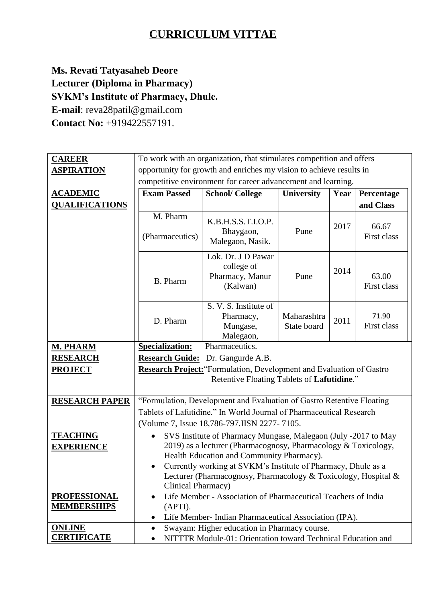## **CURRICULUM VITTAE**

## **Ms. Revati Tatyasaheb Deore Lecturer (Diploma in Pharmacy) SVKM's Institute of Pharmacy, Dhule. E-mail**: reva28patil@gmail.com **Contact No:** +919422557191.

| <b>CAREER</b>                        | To work with an organization, that stimulates competition and offers                                                                                                                                                                                                                                                                                |                                                                 |                            |      |                      |
|--------------------------------------|-----------------------------------------------------------------------------------------------------------------------------------------------------------------------------------------------------------------------------------------------------------------------------------------------------------------------------------------------------|-----------------------------------------------------------------|----------------------------|------|----------------------|
| <b>ASPIRATION</b>                    | opportunity for growth and enriches my vision to achieve results in                                                                                                                                                                                                                                                                                 |                                                                 |                            |      |                      |
|                                      | competitive environment for career advancement and learning.                                                                                                                                                                                                                                                                                        |                                                                 |                            |      |                      |
| <b>ACADEMIC</b>                      | <b>Exam Passed</b>                                                                                                                                                                                                                                                                                                                                  | <b>School/College</b>                                           | <b>University</b>          | Year | Percentage           |
| <b>QUALIFICATIONS</b>                |                                                                                                                                                                                                                                                                                                                                                     |                                                                 |                            |      | and Class            |
|                                      | M. Pharm<br>(Pharmaceutics)                                                                                                                                                                                                                                                                                                                         | K.B.H.S.S.T.I.O.P.<br>Bhaygaon,<br>Malegaon, Nasik.             | Pune                       | 2017 | 66.67<br>First class |
|                                      | <b>B.</b> Pharm                                                                                                                                                                                                                                                                                                                                     | Lok. Dr. J D Pawar<br>college of<br>Pharmacy, Manur<br>(Kalwan) | Pune                       | 2014 | 63.00<br>First class |
|                                      | D. Pharm                                                                                                                                                                                                                                                                                                                                            | S. V. S. Institute of<br>Pharmacy,<br>Mungase,<br>Malegaon,     | Maharashtra<br>State board | 2011 | 71.90<br>First class |
| <b>M. PHARM</b>                      | <b>Specialization:</b><br>Pharmaceutics.                                                                                                                                                                                                                                                                                                            |                                                                 |                            |      |                      |
| <b>RESEARCH</b>                      | <b>Research Guide:</b><br>Dr. Gangurde A.B.                                                                                                                                                                                                                                                                                                         |                                                                 |                            |      |                      |
| <b>PROJECT</b>                       | <b>Research Project:</b> "Formulation, Development and Evaluation of Gastro<br>Retentive Floating Tablets of Lafutidine."                                                                                                                                                                                                                           |                                                                 |                            |      |                      |
| <b>RESEARCH PAPER</b>                | "Formulation, Development and Evaluation of Gastro Retentive Floating                                                                                                                                                                                                                                                                               |                                                                 |                            |      |                      |
|                                      | Tablets of Lafutidine." In World Journal of Pharmaceutical Research                                                                                                                                                                                                                                                                                 |                                                                 |                            |      |                      |
|                                      | (Volume 7, Issue 18,786-797.IISN 2277-7105.                                                                                                                                                                                                                                                                                                         |                                                                 |                            |      |                      |
| <b>TEACHING</b><br><b>EXPERIENCE</b> | SVS Institute of Pharmacy Mungase, Malegaon (July -2017 to May<br>$\bullet$<br>2019) as a lecturer (Pharmacognosy, Pharmacology & Toxicology,<br>Health Education and Community Pharmacy).<br>Currently working at SVKM's Institute of Pharmacy, Dhule as a<br>Lecturer (Pharmacognosy, Pharmacology & Toxicology, Hospital &<br>Clinical Pharmacy) |                                                                 |                            |      |                      |
| <b>PROFESSIONAL</b>                  | $\bullet$                                                                                                                                                                                                                                                                                                                                           | Life Member - Association of Pharmaceutical Teachers of India   |                            |      |                      |
| <b>MEMBERSHIPS</b>                   | (APTI).<br>Life Member- Indian Pharmaceutical Association (IPA).                                                                                                                                                                                                                                                                                    |                                                                 |                            |      |                      |
| <b>ONLINE</b>                        | Swayam: Higher education in Pharmacy course.                                                                                                                                                                                                                                                                                                        |                                                                 |                            |      |                      |
| <b>CERTIFICATE</b>                   | NITTTR Module-01: Orientation toward Technical Education and                                                                                                                                                                                                                                                                                        |                                                                 |                            |      |                      |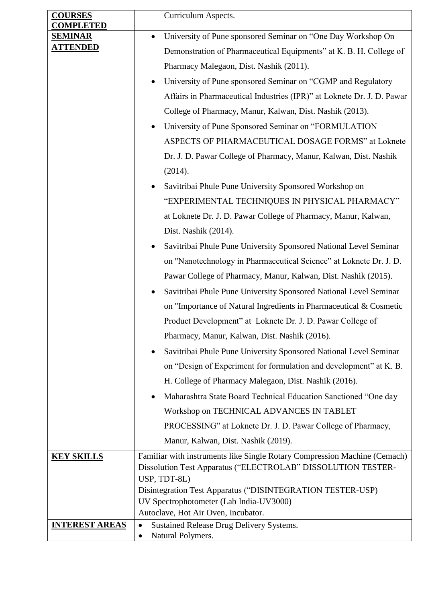| <b>COURSES</b><br><b>COMPLETED</b> | Curriculum Aspects.                                                                                   |  |
|------------------------------------|-------------------------------------------------------------------------------------------------------|--|
| <b>SEMINAR</b>                     | University of Pune sponsored Seminar on "One Day Workshop On<br>$\bullet$                             |  |
| <b>ATTENDED</b>                    | Demonstration of Pharmaceutical Equipments" at K. B. H. College of                                    |  |
|                                    | Pharmacy Malegaon, Dist. Nashik (2011).                                                               |  |
|                                    | University of Pune sponsored Seminar on "CGMP and Regulatory                                          |  |
|                                    | Affairs in Pharmaceutical Industries (IPR)" at Loknete Dr. J. D. Pawar                                |  |
|                                    | College of Pharmacy, Manur, Kalwan, Dist. Nashik (2013).                                              |  |
|                                    | University of Pune Sponsored Seminar on "FORMULATION                                                  |  |
|                                    | ASPECTS OF PHARMACEUTICAL DOSAGE FORMS" at Loknete                                                    |  |
|                                    | Dr. J. D. Pawar College of Pharmacy, Manur, Kalwan, Dist. Nashik                                      |  |
|                                    | (2014).                                                                                               |  |
|                                    | Savitribai Phule Pune University Sponsored Workshop on                                                |  |
|                                    | "EXPERIMENTAL TECHNIQUES IN PHYSICAL PHARMACY"                                                        |  |
|                                    | at Loknete Dr. J. D. Pawar College of Pharmacy, Manur, Kalwan,                                        |  |
|                                    | Dist. Nashik (2014).                                                                                  |  |
|                                    | Savitribai Phule Pune University Sponsored National Level Seminar                                     |  |
|                                    | on "Nanotechnology in Pharmaceutical Science" at Loknete Dr. J. D.                                    |  |
|                                    | Pawar College of Pharmacy, Manur, Kalwan, Dist. Nashik (2015).                                        |  |
|                                    | Savitribai Phule Pune University Sponsored National Level Seminar                                     |  |
|                                    | on "Importance of Natural Ingredients in Pharmaceutical & Cosmetic                                    |  |
|                                    | Product Development" at Loknete Dr. J. D. Pawar College of                                            |  |
|                                    | Pharmacy, Manur, Kalwan, Dist. Nashik (2016).                                                         |  |
|                                    | Savitribai Phule Pune University Sponsored National Level Seminar                                     |  |
|                                    | on "Design of Experiment for formulation and development" at K. B.                                    |  |
|                                    | H. College of Pharmacy Malegaon, Dist. Nashik (2016).                                                 |  |
|                                    | Maharashtra State Board Technical Education Sanctioned "One day                                       |  |
|                                    | Workshop on TECHNICAL ADVANCES IN TABLET                                                              |  |
|                                    | PROCESSING" at Loknete Dr. J. D. Pawar College of Pharmacy,                                           |  |
|                                    | Manur, Kalwan, Dist. Nashik (2019).                                                                   |  |
| <b>KEY SKILLS</b>                  | Familiar with instruments like Single Rotary Compression Machine (Cemach)                             |  |
|                                    | Dissolution Test Apparatus ("ELECTROLAB" DISSOLUTION TESTER-                                          |  |
|                                    | USP, TDT-8L)                                                                                          |  |
|                                    | Disintegration Test Apparatus ("DISINTEGRATION TESTER-USP)<br>UV Spectrophotometer (Lab India-UV3000) |  |
|                                    | Autoclave, Hot Air Oven, Incubator.                                                                   |  |
| <b>INTEREST AREAS</b>              | Sustained Release Drug Delivery Systems.<br>$\bullet$                                                 |  |
|                                    | Natural Polymers.                                                                                     |  |